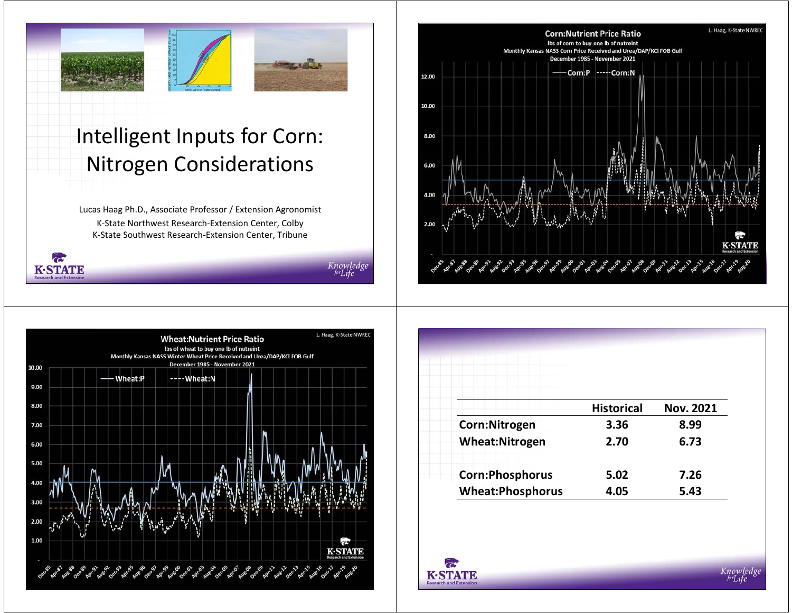

# Intelligent Inputs for Corn: Nitrogen Considerations

Lucas Haag Ph.D., Associate Professor / Extension Agronomist K-State Northwest Research-Extension Center, Colby K-State Southwest Research-Extension Center, Tribune

 $\boldsymbol{\sigma}$ 

**K-STATE** 

Knowledge





|                         | <b>Historical</b> | <b>Nov. 2021</b> |
|-------------------------|-------------------|------------------|
| Corn:Nitrogen           | 3.36              | 8.99             |
| <b>Wheat:Nitrogen</b>   | 2.70              | 6.73             |
| <b>Corn:Phosphorus</b>  | 5.02              | 7.26             |
| <b>Wheat:Phosphorus</b> | 4.05              | 5.43             |



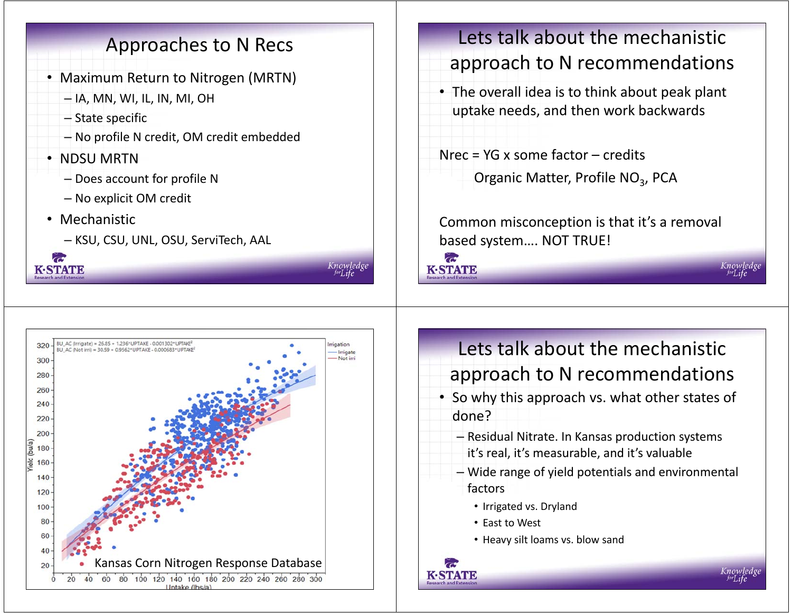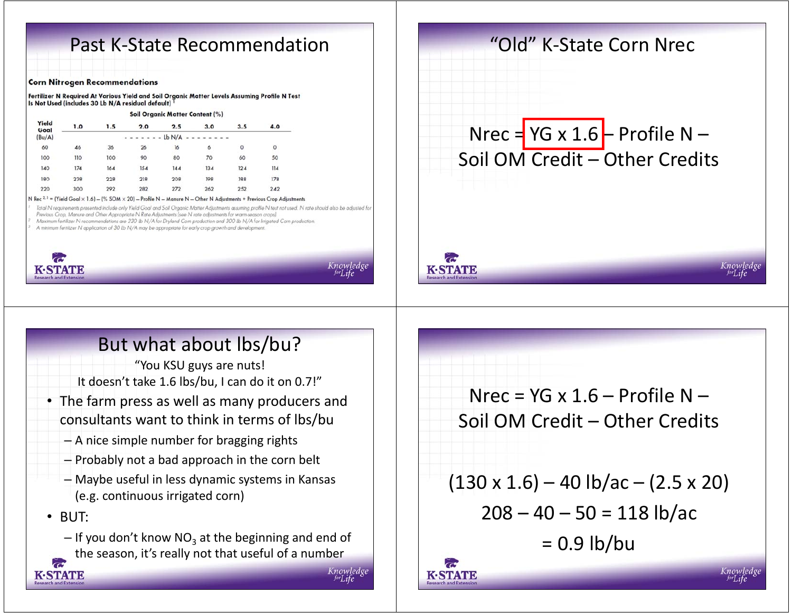## Past K-State Recommendation

#### **Corn Nitrogen Recommendations**

Fertilizer N Required At Various Yield and Soil Organic Matter Levels Assuming Profile N Test Is Not Used (includes 30 Lb N/A residual default)

#### Soil Organic Matter Content (%)

| Yield<br>Goal | 1.0 | 1.5 | 2.0 | 2.5      | 3.0 | 3.5 | 4.0     |
|---------------|-----|-----|-----|----------|-----|-----|---------|
| (Bu/A)        |     |     |     | $Lb$ N/A |     |     |         |
| 60            | 46  | 36  | 26  | 16       | 6   | 0   | $\circ$ |
| 100           | 110 | 100 | 90  | 80       | 70  | 60  | 50      |
| 140           | 174 | 164 | 154 | 144      | 134 | 124 | 114     |
| 180           | 238 | 228 | 218 | 208      | 198 | 188 | 178     |
| 220           | 300 | 292 | 282 | 272      | 262 | 252 | 242     |
|               |     |     |     |          |     |     |         |

N Rec  $2.3$  = (Yield Goal  $\times$  1.6) - (% SOM  $\times$  20) - Profile N - Manure N - Other N Adjustments + Previous Crop Adjustments

Total N requirements presented include only Yield Goal and Soil Organic Matter Adjustments assuming profile N test not used. N rate should also be adjusted for Previous Crop, Manure and Other Appropriate N Rate Adjustments (see N rate adjustments for warm-season crops)

Maximum fertilizer N recommendations are 230 lb N/A for Dryland Corn production and 300 lb N/A for Irrigated Corn production.

A minimum fertilizer N application of 30 lb N/A may be appropriate for early crop growth and development



# But what about lbs/bu?

"You KSU guys are nuts! It doesn't take 1.6 lbs/bu, I can do it on 0.7!"

- The farm press as well as many producers and consultants want to think in terms of lbs/bu
	- A nice simple number for bragging rights
	- Probably not a bad approach in the corn belt
	- Maybe useful in less dynamic systems in Kansas (e.g. continuous irrigated corn)

• BUT:

KASTVAVID

– If you don't know NO<sub>3</sub> at the beginning and end of the season, it's really not that useful of a number

Nrec =  $YG \times 1.6$  – Profile N – Soil OM Credit – Other Credits

"Old" K-State Corn Nrec

 $Nrec = YG \times 1.6 - Profile N -$ Soil OM Credit – Other Credits

 $(130 \times 1.6) - 40 \text{ lb/ac} - (2.5 \times 20)$  $208 - 40 - 50 = 118$  lb/ac

 $= 0.9$  lb/bu



**K-STATE**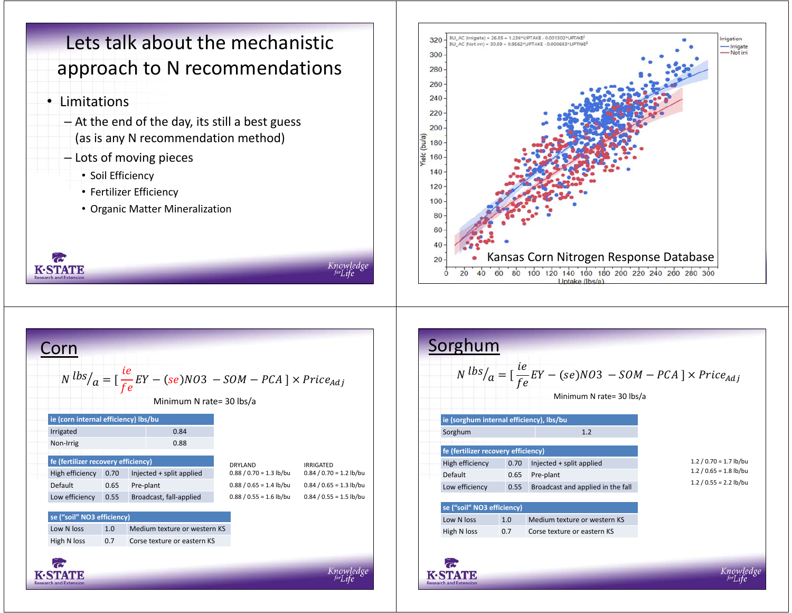# Lets talk about the mechanistic approach to N recommendations

Knowledg

**K-STATE** scoarch and Eyte

#### • Limitations

 $\overline{\mathbf{C}}$ 

**K-STATE** 

- At the end of the day, its still a best guess (as is any N recommendation method)
- Lots of moving pieces
	- Soil Efficiency
	- Fertilizer Efficiency
	- Organic Matter Mineralization



| Corn                                 |      | $N \frac{b s}{a} = \left[\frac{ie}{fe} EY - (se)N03 - SOM - PCA\right] \times Price_{Adj}$<br>Minimum N rate= 30 lbs/a |                           |                           |
|--------------------------------------|------|------------------------------------------------------------------------------------------------------------------------|---------------------------|---------------------------|
| ie (corn internal efficiency) lbs/bu |      |                                                                                                                        |                           |                           |
| Irrigated                            |      | 0.84                                                                                                                   |                           |                           |
| Non-Irrig                            |      | 0.88                                                                                                                   |                           |                           |
| fe (fertilizer recovery efficiency)  |      |                                                                                                                        | <b>DRYLAND</b>            | <b>IRRIGATED</b>          |
| High efficiency                      | 0.70 | Injected + split applied                                                                                               | $0.88 / 0.70 = 1.3$ lb/bu | $0.84 / 0.70 = 1.2$ lb/bu |
| Default                              | 0.65 | Pre-plant                                                                                                              | $0.88 / 0.65 = 1.4$ lb/bu | $0.84 / 0.65 = 1.3$ lb/bu |
| Low efficiency                       | 0.55 | Broadcast, fall-applied                                                                                                | $0.88 / 0.55 = 1.6$ lb/bu | $0.84 / 0.55 = 1.5$ lb/bu |
| se ("soil" NO3 efficiency)           |      |                                                                                                                        |                           |                           |
| Low N loss                           | 1.0  | Medium texture or western KS                                                                                           |                           |                           |
| High N loss                          | 0.7  | Corse texture or eastern KS                                                                                            |                           |                           |
|                                      |      |                                                                                                                        |                           |                           |
| <b>Research and Extension</b>        |      |                                                                                                                        |                           |                           |

| Sorghum                                  | $N^{lbs}/a = \left[\frac{ie}{fe} EY - (se)NO3 - SOM - PCA\right] \times Price_{Adj}$<br>Minimum N rate= 30 lbs/a |                                   |                                               |  |
|------------------------------------------|------------------------------------------------------------------------------------------------------------------|-----------------------------------|-----------------------------------------------|--|
| ie (sorghum internal efficiency), lbs/bu |                                                                                                                  |                                   |                                               |  |
| Sorghum                                  |                                                                                                                  | 1.2                               |                                               |  |
| fe (fertilizer recovery efficiency)      |                                                                                                                  |                                   | $1.2 / 0.70 = 1.7$ lb/bu                      |  |
| High efficiency<br>Default               | 0.70                                                                                                             | Injected + split applied          | $1.2 / 0.65 = 1.8$ lb/bu                      |  |
|                                          | 0.65                                                                                                             | Pre-plant                         | $1.2 / 0.55 = 2.2$ lb/bu                      |  |
| Low efficiency                           | 0.55                                                                                                             | Broadcast and applied in the fall |                                               |  |
| se ("soil" NO3 efficiency)               |                                                                                                                  |                                   |                                               |  |
| Low N loss                               | 1.0                                                                                                              | Medium texture or western KS      |                                               |  |
| High N loss                              | 0.7                                                                                                              | Corse texture or eastern KS       |                                               |  |
|                                          |                                                                                                                  |                                   | <b>STATE OF A STATE OF A STATE OF A STATE</b> |  |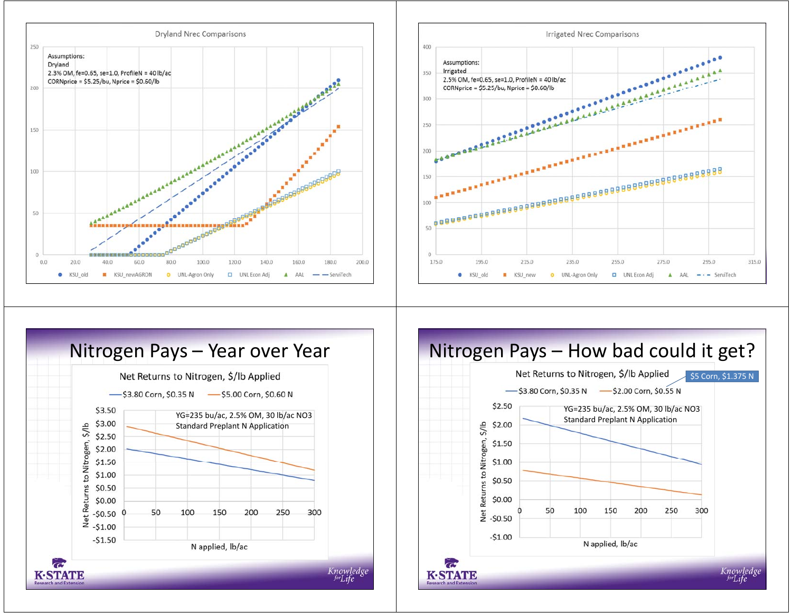





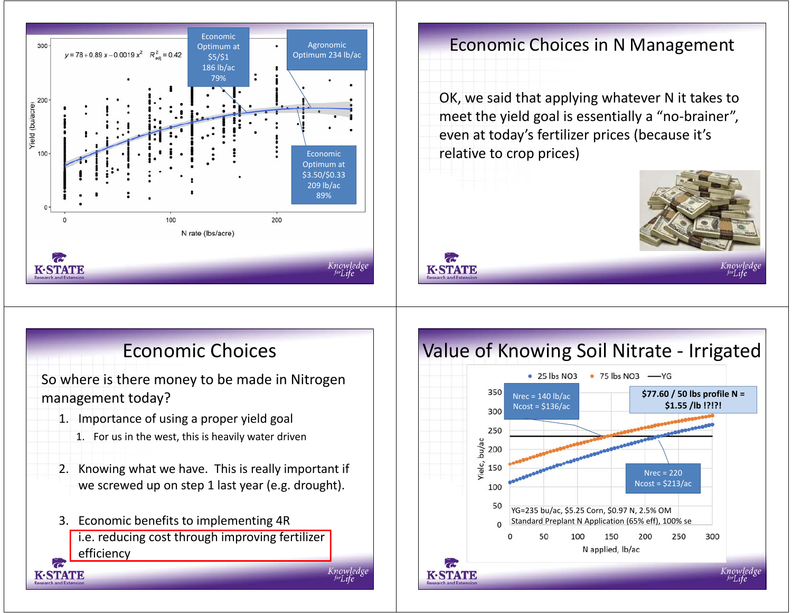

#### Economic Choices in N Management

OK, we said that applying whatever N it takes to meet the yield goal is essentially a "no-brainer", even at today's fertilizer prices (because it's relative to crop prices)

**K-STATE** 



## Economic Choices

So where is there money to be made in Nitrogen management today?

- 1. Importance of using a proper yield goal
	- 1. For us in the west, this is heavily water driven
- 2. Knowing what we have. This is really important if we screwed up on step 1 last year (e.g. drought).
- 3. Economic benefits to implementing 4R i.e. reducing cost through improving fertilizer efficiency

KASTVATE

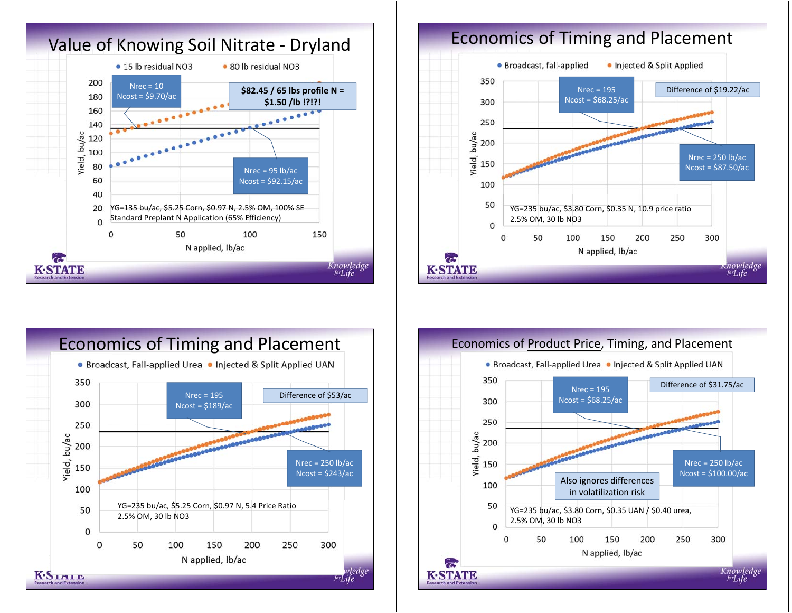





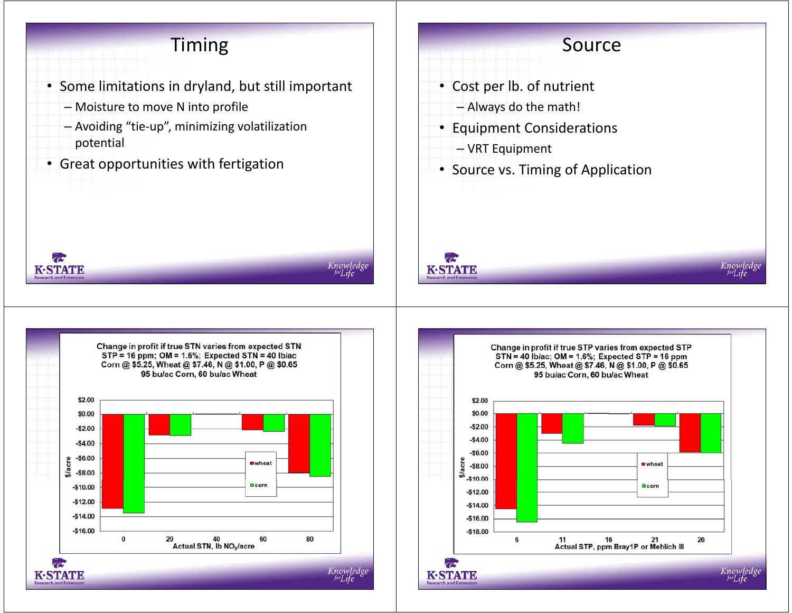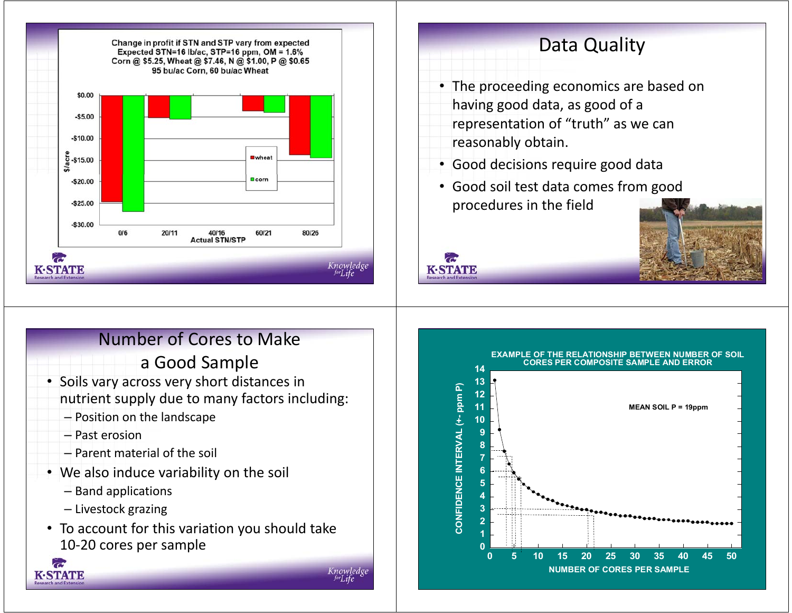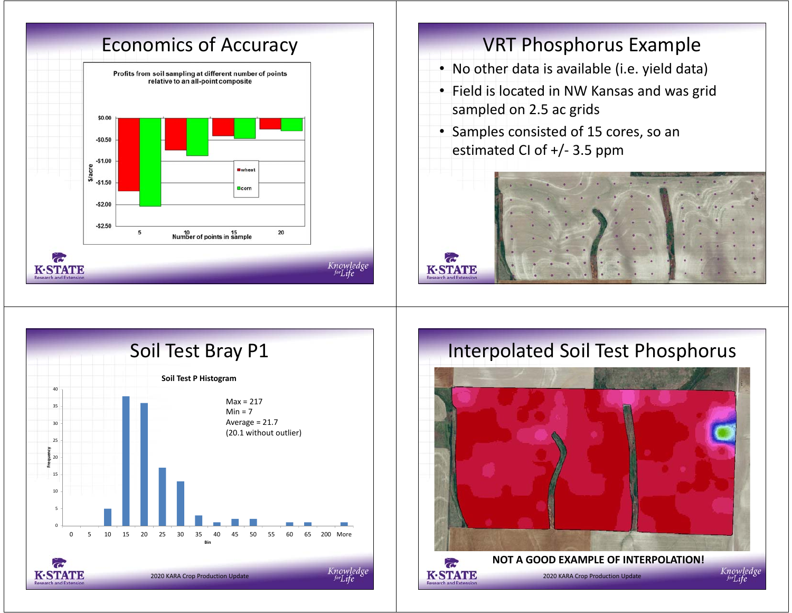

- No other data is available (i.e. yield data)
- Field is located in NW Kansas and was grid sampled on 2.5 ac grids
- Samples consisted of 15 cores, so an estimated CI of +/- 3.5 ppm





## Interpolated Soil Test Phosphorus